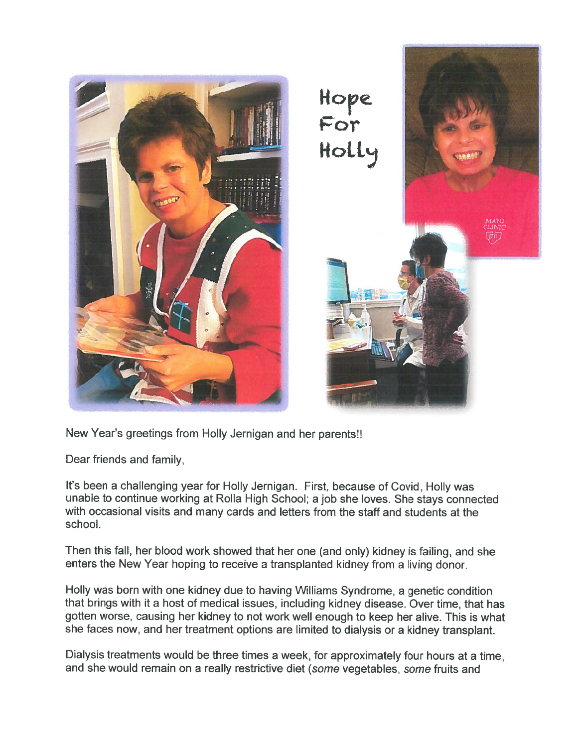

New Year's greetings from Holly Jernigan and her parents!!

Dear friends and family,

It's been <sup>a</sup> challenging year for Holly Jernigan. First, because of Covid, Holly was unable to continue working at Rolla High School; <sup>a</sup> job she loves. She stays connected with occasional visits and many cards and letters from the staff and students at the school.

Then this fall, her blood work showed that her one (and only) kidney is failing, and she enters the New Year hoping to receive <sup>a</sup> transplanted kidney from <sup>a</sup> living donor.

Holly was born with one kidney due to having Williams Syndrome, <sup>a</sup> genetic condition that brings with it <sup>a</sup> host of medical issues, including kidney disease. Over time, that has gotten worse, causing her kidney to not work well enough to keep her alive. This is what she faces now, and her treatment options are limited to dialysis or <sup>a</sup> kidney transplant.

Dialysis treatments would be three times <sup>a</sup> week, for approximately four hours at <sup>a</sup> time, and she would remain on <sup>a</sup> really restrictive diet (some vegetables, some fruits and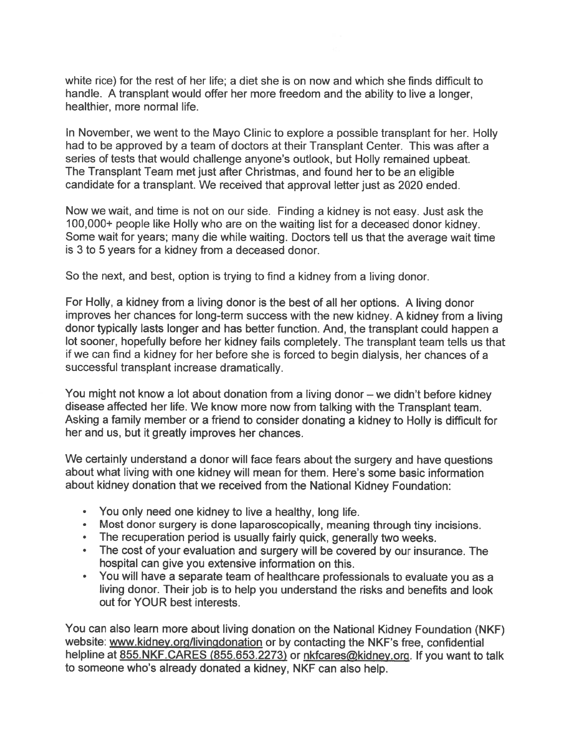white rice) for the rest of her life; <sup>a</sup> diet she is on now and which she finds difficult to handle. A transplant would offer her more freedom and the ability to live <sup>a</sup> longer, healthier, more normal life.

In November, we went to the Mayo Clinic to explore <sup>a</sup> possible transplant for her. Holly had to be approved by <sup>a</sup> team of doctors at their Transplant Center. This was after <sup>a</sup> series of tests that would challenge anyone's outlook, but Holly remained upbeat. The Transplant Team met just after Christmas, and found her to be an eligible candidate for <sup>a</sup> transplant. We received that approval letter just as 2020 ended.

Now we wait, and time is not on our side. Finding <sup>a</sup> kidney is not easy. Just ask the 100,000+ people like Holly who are on the waiting list for <sup>a</sup> deceased donor kidney. Some wait for years; many die while waiting. Doctors tell us that the average wait time is 3 to 5 years for <sup>a</sup> kidney from <sup>a</sup> deceased donor.

So the next, and best, option is trying to find <sup>a</sup> kidney from <sup>a</sup> living donor.

For Holly, <sup>a</sup> kidney from <sup>a</sup> living donor is the best of all her options. <sup>A</sup> living donor improves her chances for long-term success with the new kidney. <sup>A</sup> kidney from <sup>a</sup> living donor typically lasts longer and has better function. And, the transplant could happen <sup>a</sup> lot sooner, hopefully before her kidney fails completely. The transplant team tells us that if we can find <sup>a</sup> kidney for her before she is forced to begin dialysis, her chances of <sup>a</sup> successful transplant increase dramatically.

You might not know <sup>a</sup> lot about donation from <sup>a</sup> living donor — we didn't before kidney disease affected her life. We know more now from talking with the Transplant team. Asking <sup>a</sup> family member or <sup>a</sup> friend to consider donating <sup>a</sup> kidney to Holly is difficult for her and us, but it greatly improves her chances.

We certainly understand <sup>a</sup> donor will face fears about the surgery and have questions about what living with one kidney will mean for them. Here's some basic information about kidney donation that we received from the National Kidney Foundation:

- You only need one kidney to live <sup>a</sup> healthy, long life.
- Most donor surgery is done laparoscopically, meaning through tiny incisions.
- The recuperation period is usually fairly quick, generally two weeks
- The cost of your evaluation and surgery will be covered by our insurance. The hospital can give you extensive information on this.
- • You will have <sup>a</sup> separate team of healthcare professionals to evaluate you as <sup>a</sup> living donor. Their job is to help you understand the risks and benefits and look out for YOUR best interests.

You can also learn more about living donation on the National Kidney Foundation (NKF) website: www.kidney.org/livingdonation or by contacting the NKF's free, confidential helpline at 855.NKF.CARES (855.653.2273) or nkfcares@kidney.org. If you want to talk to someone who's already donated <sup>a</sup> kidney, NKF can also help.